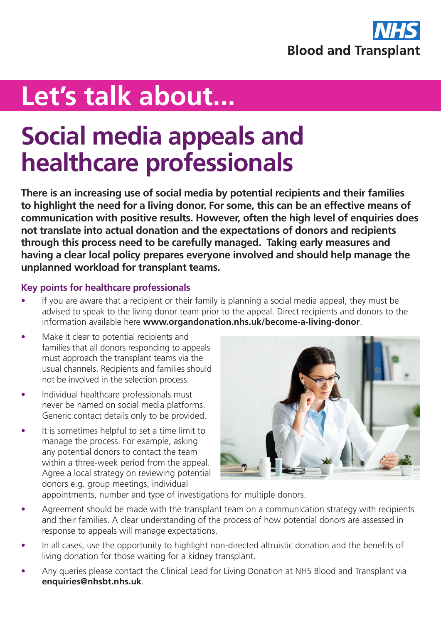

## **Let's talk about...**

## **Social media appeals and healthcare professionals**

**There is an increasing use of social media by potential recipients and their families to highlight the need for a living donor. For some, this can be an effective means of communication with positive results. However, often the high level of enquiries does not translate into actual donation and the expectations of donors and recipients through this process need to be carefully managed. Taking early measures and having a clear local policy prepares everyone involved and should help manage the unplanned workload for transplant teams.**

## **Key points for healthcare professionals**

- If you are aware that a recipient or their family is planning a social media appeal, they must be advised to speak to the living donor team prior to the appeal. Direct recipients and donors to the information available here **www.organdonation.nhs.uk/become-a-living-donor**.
- Make it clear to potential recipients and families that all donors responding to appeals must approach the transplant teams via the usual channels. Recipients and families should not be involved in the selection process.
- Individual healthcare professionals must never be named on social media platforms. Generic contact details only to be provided.
- It is sometimes helpful to set a time limit to manage the process. For example, asking any potential donors to contact the team within a three-week period from the appeal. Agree a local strategy on reviewing potential donors e.g. group meetings, individual



appointments, number and type of investigations for multiple donors.

- Agreement should be made with the transplant team on a communication strategy with recipients and their families. A clear understanding of the process of how potential donors are assessed in response to appeals will manage expectations.
- In all cases, use the opportunity to highlight non-directed altruistic donation and the benefits of living donation for those waiting for a kidney transplant.
- Any queries please contact the Clinical Lead for Living Donation at NHS Blood and Transplant via **enquiries@nhsbt.nhs.uk**.